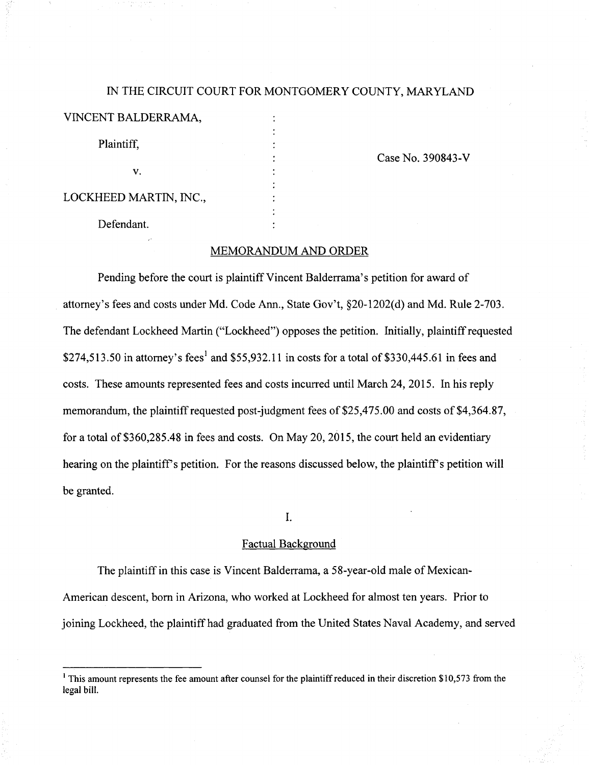# IN THE CIRCUIT COURT FOR MONTGOMERY COUNTY, MARYLAND

| VINCENT BALDERRAMA, |  |
|---------------------|--|
| Plaintiff.          |  |
| V.                  |  |

Case No. 390843-V

LOCKHEED MARTIN, INC.,

Defendant.

## MEMORANDUM AND ORDER

Pending before the court is plaintiff Vincent Balderrama's petition for award of attorney's fees and costs under Md. Code Ann., State Gov't, §20-1202(d) and Md. Rule 2-703. The defendant Lockheed Martin ("Lockheed") opposes the petition. Initially, plaintiff requested \$274,513.50 in attorney's fees<sup>1</sup> and \$55,932.11 in costs for a total of \$330,445.61 in fees and costs. These amounts represented fees and costs incurred until March 24, 2015. In his reply memorandum, the plaintiff requested post-judgment fees of \$25,475.00 and costs of \$4,364.87, for a total of \$360,285.48 in fees and costs. On May 20, 2015, the court held an evidentiary hearing on the plaintiff's petition. For the reasons discussed below, the plaintiff's petition will be granted.

I.

#### Factual Background

The plaintiff in this case is Vincent Balderrama, a 58-year-old male of Mexican-American descent, bom in Arizona, who worked at Lockheed for almost ten years. Prior to joining Lockheed, the plaintiff had graduated from the United States Naval Academy, and served

 $<sup>1</sup>$  This amount represents the fee amount after counsel for the plaintiff reduced in their discretion \$10,573 from the</sup> legal bill.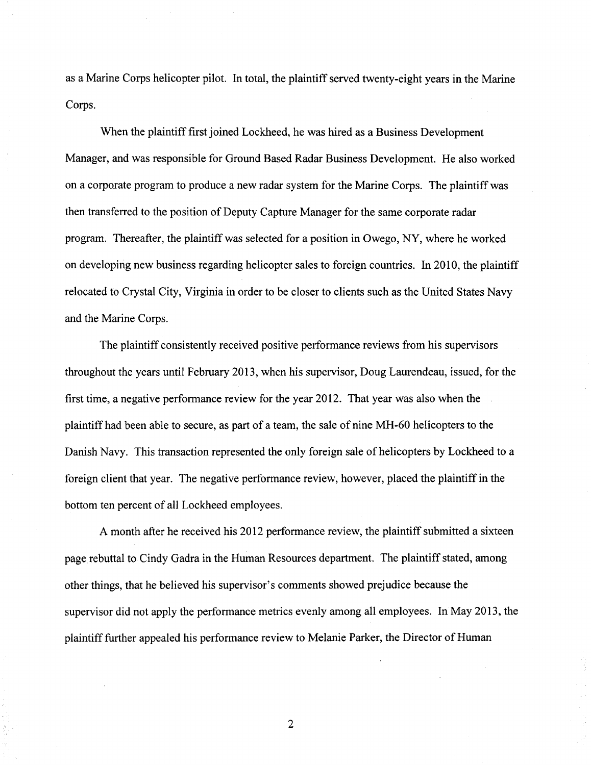as a Marine Corps helicopter pilot. In total, the plaintiff served twenty-eight years in the Marine Corps.

When the plaintiff first joined Lockheed, he was hired as a Business Development Manager, and was responsible for Ground Based Radar Business Development. He also worked on a corporate program to produce a new radar system for the Marine Corps. The plaintiff was then transferred to the position of Deputy Capture Manager for the same corporate radar program. Thereafter, the plaintiff was selected for a position in Owego, NY, where he worked on developing new business regarding helicopter sales to foreign countries. In 2010, the plaintiff relocated to Crystal City, Virginia in order to be closer to clients such as the United States Navy and the Marine Corps.

The plaintiff consistently received positive performance reviews from his supervisors throughout the years until February 2013, when his supervisor, Doug Laurendeau, issued, for the first time, a negative performance review for the year 2012. That year was also when the plaintiff had been able to secure, as part of a team, the sale of nine MH-60 helicopters to the Danish Navy. This transaction represented the only foreign sale of helicopters by Lockheed to a foreign client that year. The negative performance review, however, placed the plaintiff in the bottom ten percent of all Lockheed employees.

A month after he received his 2012 performance review, the plaintiff submitted a sixteen page rebuttal to Cindy Gadra in the Human Resources department. The plaintiff stated, among other things, that he believed his supervisor's comments showed prejudice because the supervisor did not apply the performance metrics evenly among all employees. In May 2013, the plaintiff further appealed his performance review to Melanie Parker, the Director of Human

 $\overline{2}$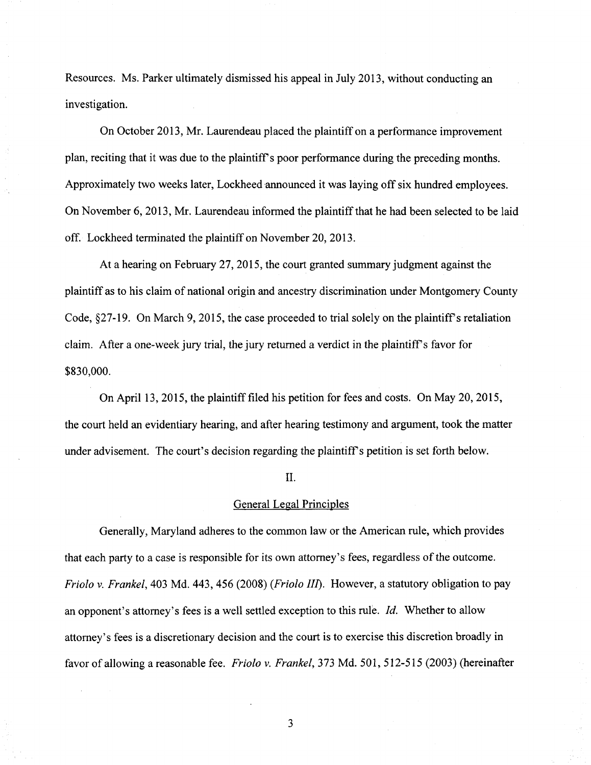Resources. Ms. Parker ultimately dismissed his appeal in July 2013, without conducting an investigation.

On October 2013, Mr. Laurendeau placed the plaintiff on a performance improvement plan, reciting that it was due to the plaintiff's poor performance during the preceding months. Approximately two weeks later, Lockheed announced it was laying off six hundred employees. On November 6, 2013, Mr. Laurendeau informed the plaintiff that he had been selected to be laid off. Lockheed terminated the plaintiff on November 20, 2013.

At a hearing on February 27, 2015, the court granted summary judgment against the plaintiff as to his claim of national origin and ancestry discrimination under Montgomery County Code, §27-19. On March 9, 2015, the case proceeded to trial solely on the plaintiff's retaliation claim. After a one-week jury trial, the jury retumed a verdict in the plaintiffs favor for \$830,000.

On April 13, 2015, the plaintiff filed his petition for fees and costs. On May 20, 2015, the court held an evidentiary hearing, and after hearing testimony and argument, took the matter under advisement. The court's decision regarding the plaintiff's petition is set forth below.

## II.

#### General Legal Principles

Generally, Maryland adheres to the common law or the American rule, which provides that each party to a case is responsible for its own attorney's fees, regardless of the outcome. Friolo v. Frankel, 403 Md. 443, 456 (2008) (Friolo III). However, a statutory obligation to pay an opponent's attorney's fees is a well settled exception to this rule. Id. Whether to allow attomey's fees is a discretionary decision and the court is to exercise this discretion broadly in favor of allowing a reasonable fee. Friolo v. Frankel, 373 Md. 501, 512-515 (2003) (hereinafter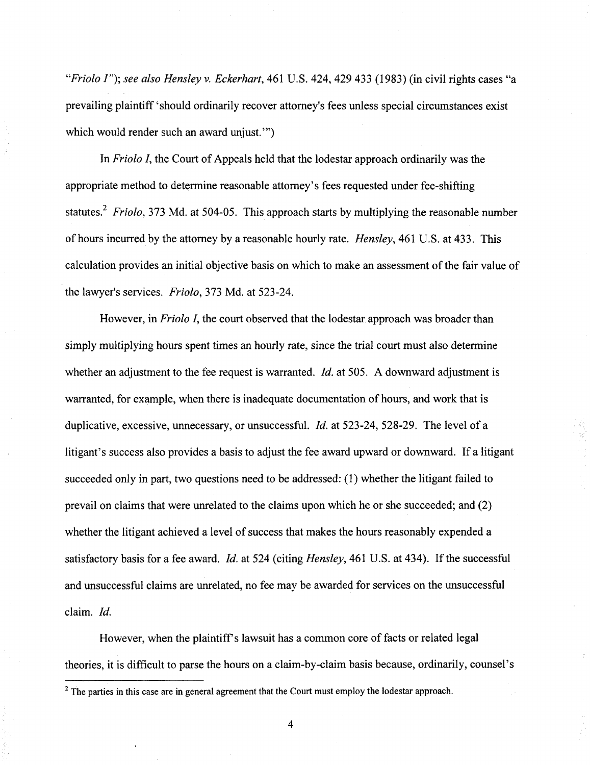"Friolo I"); see also Hensley v. Eckerhart, 461 U.S. 424, 429 433 (1983) (in civil rights cases "a prevailing plaintiff 'should ordinarily recover attorney's fees unless special circumstances exist which would render such an award unjust."

In Friolo I, the Court of Appeals held that the lodestar approach ordinarily was the appropriate method to determine reasonable attomey's fees requested under fee-shifting statutes.<sup>2</sup> Friolo, 373 Md. at 504-05. This approach starts by multiplying the reasonable number of hours incurred by the attomey by a reasonable hourly rate. Hensley, 461 U.S. at 433. This calculation provides an initial objective basis on which to make an assessment of the fair value of the lawyer's services. Friolo, 373 Md. at 523-24.

However, in Friolo I, the court observed that the lodestar approach was broader than simply multiplying hours spent times an hourly rate, since the trial court must also determine whether an adjustment to the fee request is warranted. *Id.* at 505. A downward adjustment is warranted, for example, when there is inadequate documentation of hours, and work that is duplicative, excessive, unnecessary, or unsuccessful. *Id.* at 523-24, 528-29. The level of a litigant's success also provides a basis to adjust the fee award upward or downward. If a litigant succeeded only in part, two questions need to be addressed: (1) whether the litigant failed to prevail on claims that were unrelated to the claims upon which he or she succeeded; and (2) whether the litigant achieved a level of success that makes the hours reasonably expended a satisfactory basis for a fee award. *Id.* at 524 (citing *Hensley*, 461 U.S. at 434). If the successful and unsuccessful claims are unrelated, no fee may be awarded for services on the unsuccessful claim. Id.

However, when the plaintiff's lawsuit has a common core of facts or related legal theories, it is difficult to parse the hours on a claim-by-claim basis because, ordinarily, counsel's

 $\overline{4}$ 

 $<sup>2</sup>$  The parties in this case are in general agreement that the Court must employ the lodestar approach.</sup>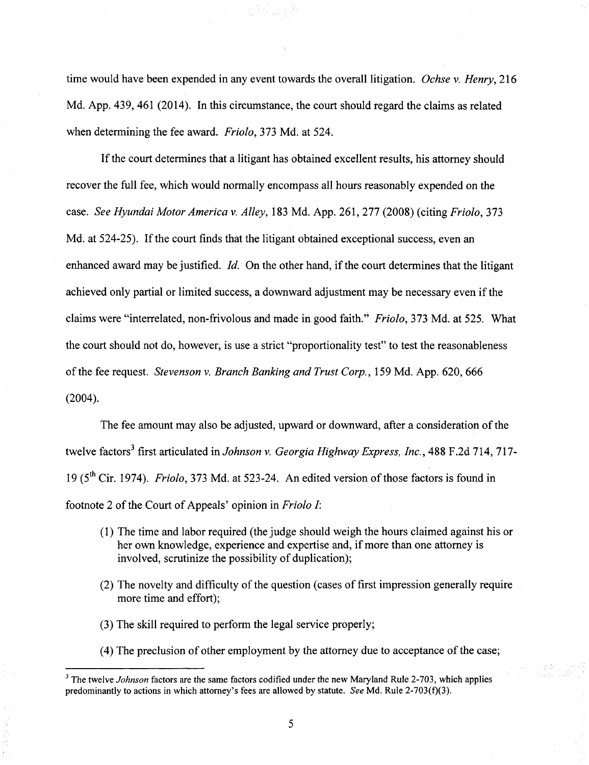time would have been expended in any event towards the overall litigation. Ochse v. Henry, 216 Md. App. 439, 461 (2014). In this circumstance, the court should regard the claims as related when determining the fee award. Friolo, 373 Md. at 524.

If the court determines that a litigant has obtained excellent results, his attomey should recover the full fee, which would normally encompass all hours reasonably expended on the case. See Hyundai Motor America v. Alley, 183 Md. App. 261, 277 (2008) (citing Friolo, 373 Md. at 524-25). If the court finds that the litigant obtained exceptional success, even an enhanced award may be justified. Id. On the other hand, if the court determines that the litigant achieved only partial or limited success, a downward adjustment may be necessary even if the claims were "interrelated, non-frivolous and made in good faith." Friolo, 373 Md. at 525. What the court should not do, however, is use a strict "proportionality test" to test the reasonableness of the fee request. Stevenson v. Branch Banking and Trust Corp., 159 Md. App. 620, 666 (2004).

The fee amount may also be adjusted, upward or downward, after a consideration of the twelve factors<sup>3</sup> first articulated in Johnson v. Georgia Highway Express, Inc., 488 F.2d 714, 717-19 ( $5^{\text{th}}$  Cir. 1974). *Friolo*, 373 Md. at 523-24. An edited version of those factors is found in footnote 2 of the Court of Appeals' opinion in Friolo I:

- (1) The time and labor required (the judge should weigh the hours claimed against his or her own knowledge, experience and expertise and, if more than one attomey is involved, scrutinize the possibility of duplication);
- (2) The novelty and difficulty of the question (cases of first impression generally require more time and effort);
- (3) The skill required to perform the legal service properly;
- (4) The preclusion of other employment by the attorney due to acceptance of the case;

 $3$  The twelve Johnson factors are the same factors codified under the new Maryland Rule 2-703, which applies predominantly to actions in which attorney's fees are allowed by statute. See Md. Rule 2-703(f)(3).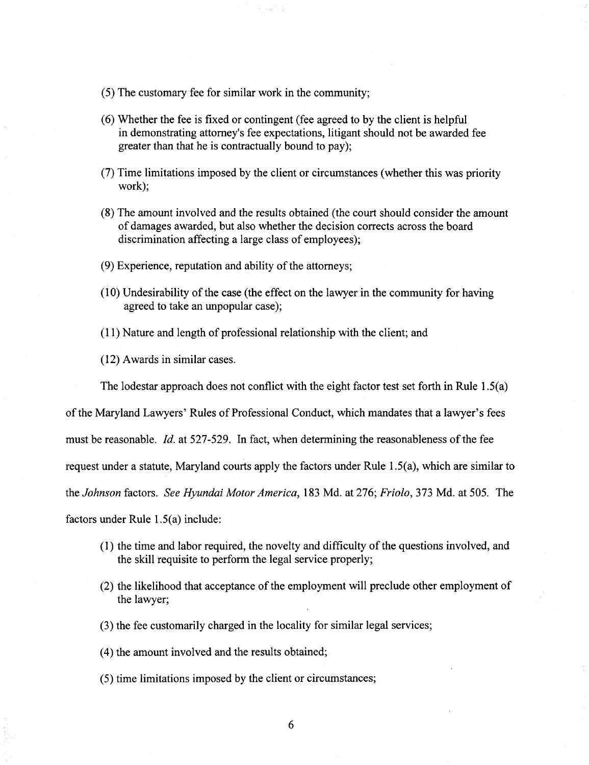- (5) The customary fee for similar work in the community;
- (6) Whether the fee is fixed or contingent (fee agreed to by the client is helpfiil in demonstrating attomey's fee expectations, litigant should not be awarded fee greater than that he is contractually bound to pay);
- (7) Time limitations imposed by the client or circumstances (whether this was priority work);
- (8) The amount involved and the results obtained (the court should consider the amount of damages awarded, but also whether the decision corrects across the board discrimination affecting a large class of employees);
- $(9)$  Experience, reputation and ability of the attorneys;
- $(10)$  Undesirability of the case (the effect on the lawyer in the community for having agreed to take an unpopular case);
- (11) Nature and length of professional relationship with the client; and
- (12) Awards in similar cases.

The lodestar approach does not conflict with the eight factor test set forth in Rule  $1.5(a)$ 

ofthe Maryland Lawyers' Rules of Professional Conduct, which mandates that a lawyer's fees

must be reasonable. *Id.* at 527-529. In fact, when determining the reasonableness of the fee

request under a statute, Maryland courts apply the factors under Rule 1.5(a), which are similar to

the Johnson factors. See Hyundai Motor America, 183 Md. at 276; Friolo, 373 Md. at 505. The

factors under Rule 1.5(a) include:

- (1) the time and labor required, the novelty and difficulty ofthe questions involved, and the skill requisite to perform the legal service properly;
- (2) the likelihood that acceptance of the employment will preclude other employment of the lawyer;
- (3) the fee customarily charged in the locality for similar legal services;
- (4) the amount involved and the results obtained;
- (5) time limitations imposed by the client or circumstances;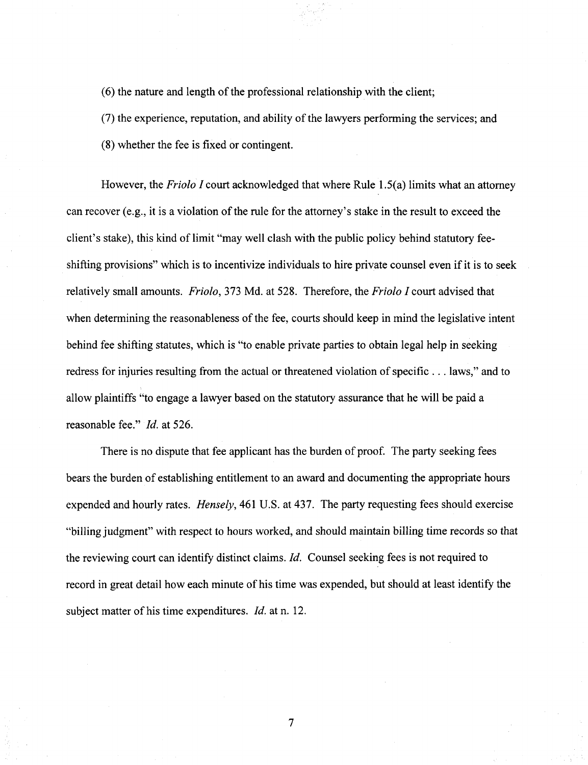$(6)$  the nature and length of the professional relationship with the client;

(7) the experience, reputation, and ability of the lawyers performing the services; and

(8) whether the fee is fixed or contingent.

However, the *Friolo I* court acknowledged that where Rule 1.5(a) limits what an attorney can recover (e.g., it is a violation of the rule for the attorney's stake in the result to exceed the client's stake), this kind of limit "may well clash with the public policy behind statutory feeshifting provisions" which is to incentivize individuals to hire private counsel even if it is to seek relatively small amounts. Friolo, 373 Md. at 528. Therefore, the Friolo I court advised that when determining the reasonableness of the fee, courts should keep in mind the legislative intent behind fee shifting statutes, which is "to enable private parties to obtain legal help in seeking redress for injuries resulting from the actual or threatened violation of specific . . . laws," and to allow plaintiffs "to engage a lawyer based on the statutory assurance that he will be paid a reasonable fee." *Id.* at 526.

There is no dispute that fee applicant has the burden of proof. The party seeking fees bears the burden of establishing entitlement to an award and documenting the appropriate hours expended and hourly rates. Hensely, 461 U.S. at 437. The party requesting fees should exercise "billing judgment" with respect to hours worked, and should maintain billing time records so that the reviewing court can identify distinct claims. Id. Counsel seeking fees is not required to record in great detail how each minute of his time was expended, but should at least identify the subject matter of his time expenditures. *Id.* at n. 12.

 $\overline{7}$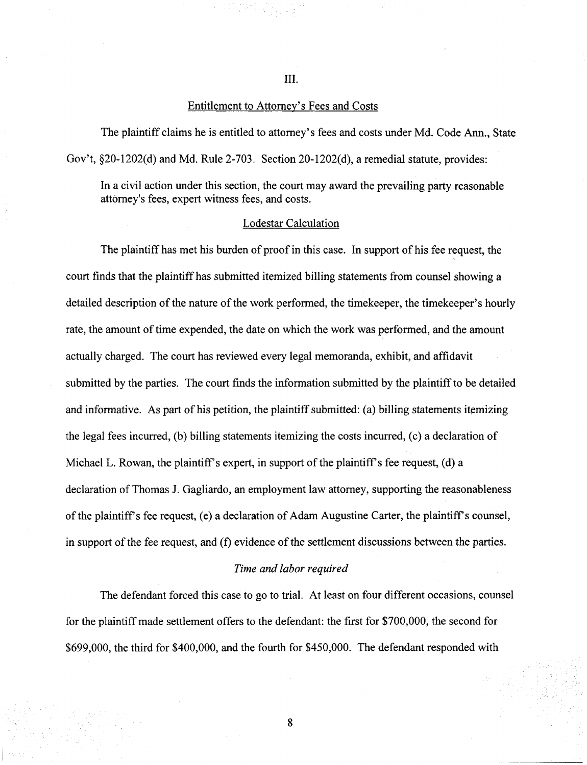III.

# Entitlement to Attomey's Fees and Costs

The plaintiff claims he is entitled to attomey's fees and costs under Md. Code Ann., State Gov't, §20-1202(d) and Md. Rule 2-703. Section 20-1202(d), a remedial statute, provides:

In a civil action under this section, the court may award the prevailing party reasonable attomey's fees, expert witness fees, and costs.

## Lodestar Calculation

The plaintiff has met his burden of proof in this case. In support of his fee request, the court finds that the plaintiff has submitted itemized billing statements from counsel showing a detailed description of the nature of the work performed, the timekeeper, the timekeeper's hourly rate, the amount of time expended, the date on which the work was performed, and the amount actually charged. The court has reviewed every legal memoranda, exhibit, and affidavit submitted by the parties. The court finds the information submitted by the plaintiff to be detailed and informative. As part of his petition, the plaintiff submitted: (a) billing statements itemizing the legal fees incurred, (b) billing statements itemizing the costs incurred, (c) a declaration of Michael L. Rowan, the plaintiff's expert, in support of the plaintiff's fee request, (d) a declaration of Thomas J. Gagliardo, an employment law attomey, supporting the reasonableness of the plaintiff's fee request, (e) a declaration of Adam Augustine Carter, the plaintiff's counsel, in support of the fee request, and  $(f)$  evidence of the settlement discussions between the parties.

#### Time and labor required

The defendant forced this case to go to trial. At least on four different occasions, counsel for the plaintiff made settlement offers to the defendant: the first for \$700,000, the second for \$699,000, the third for \$400,000, and the fourth for \$450,000. The defendant responded with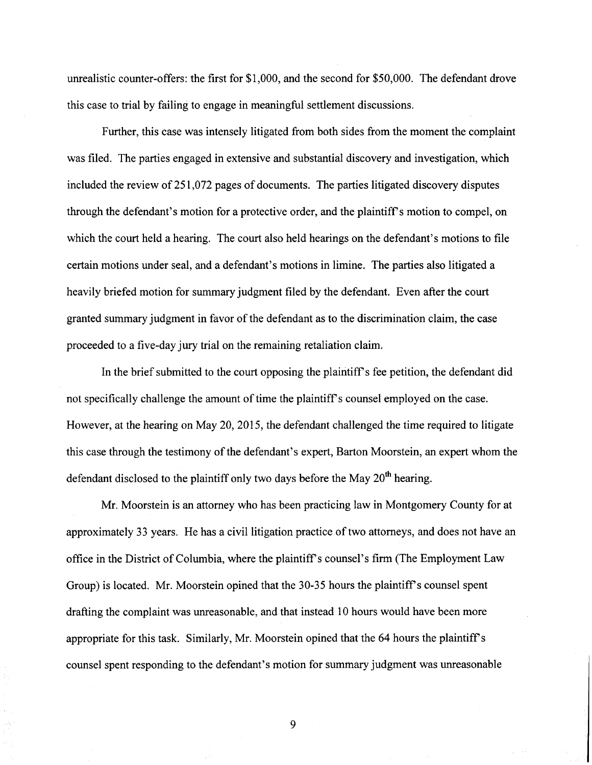unrealistic counter-offers: the first for \$1,000, and the second for \$50,000. The defendant drove this case to trial by failing to engage in meaningful settlement discussions.

Further, this case was intensely litigated from both sides from the moment the complaint was filed. The parties engaged in extensive and substantial discovery and investigation, which included the review of 251,072 pages of documents. The parties litigated discovery disputes through the defendant's motion for a protective order, and the plaintiff's motion to compel, on which the court held a hearing. The court also held hearings on the defendant's motions to file certain motions under seal, and a defendant's motions in limine. The parties also litigated a heavily briefed motion for summary judgment filed by the defendant. Even after the court granted summary judgment in favor of the defendant as to the discrimination claim, the case proceeded to a five-day jury trial on the remaining retaliation claim.

In the brief submitted to the court opposing the plaintiff's fee petition, the defendant did not specifically challenge the amount of time the plaintiff's counsel employed on the case. However, at the hearing on May 20, 2015, the defendant challenged the time required to litigate this case through the testimony of the defendant's expert. Barton Moorstein, an expert whom the defendant disclosed to the plaintiff only two days before the May  $20^{th}$  hearing.

Mr. Moorstein is an attorney who has been practicing law in Montgomery County for at approximately 33 years. He has a civil litigation practice of two attomeys, and does not have an office in the District of Columbia, where the plaintiff's counsel's firm (The Employment Law Group) is located. Mr. Moorstein opined that the 30-35 hours the plaintiffs counsel spent drafting the complaint was unreasonable, and that instead 10 hours would have been more appropriate for this task. Similarly, Mr. Moorstein opined that the 64 hours the plaintiffs counsel spent responding to the defendant's motion for summary judgment was unreasonable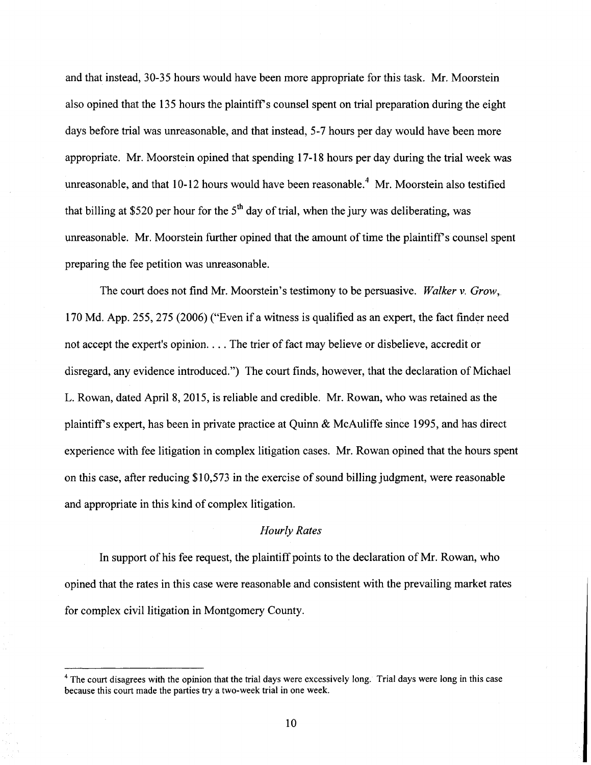and that instead, 30-35 hours would have been more appropriate for this task. Mr. Moorstein also opined that the 135 hours the plaintiff's counsel spent on trial preparation during the eight days before trial was unreasonable, and that instead, 5-7 hours per day would have been more appropriate. Mr. Moorstein opined that spending 17-18 hours per day during the trial week was unreasonable, and that  $10-12$  hours would have been reasonable.<sup>4</sup> Mr. Moorstein also testified that billing at \$520 per hour for the  $5<sup>th</sup>$  day of trial, when the jury was deliberating, was unreasonable. Mr. Moorstein further opined that the amount of time the plaintiff s counsel spent preparing the fee petition was unreasonable.

The court does not find Mr. Moorstein's testimony to be persuasive. Walker v. Grow, 170 Md. App. 255, 275 (2006) ("Even if a witness is qualified as an expert, the fact finder need not accept the expert's opinion. . . . The trier of fact may believe or disbelieve, accredit or disregard, any evidence introduced.") The court finds, however, that the declaration of Michael L. Rowan, dated April 8, 2015, is reliable and credible. Mr. Rowan, who was retained as the plaintiffs expert, has been in private practice at Quinn & McAuliffe since 1995, and has direct experience with fee litigation in complex litigation cases. Mr. Rowan opined that the hours spent on this case, after reducing \$10,573 in the exercise of sound billing judgment, were reasonable and appropriate in this kind of complex litigation.

## Hourly Rates

In support of his fee request, the plaintiff points to the declaration of Mr. Rowan, who opined that the rates in this case were reasonable and consistent with the prevailing market rates for complex civil litigation in Montgomery County.

<sup>&</sup>lt;sup>4</sup> The court disagrees with the opinion that the trial days were excessively long. Trial days were long in this case because this court made the parties try a two-week trial in one week.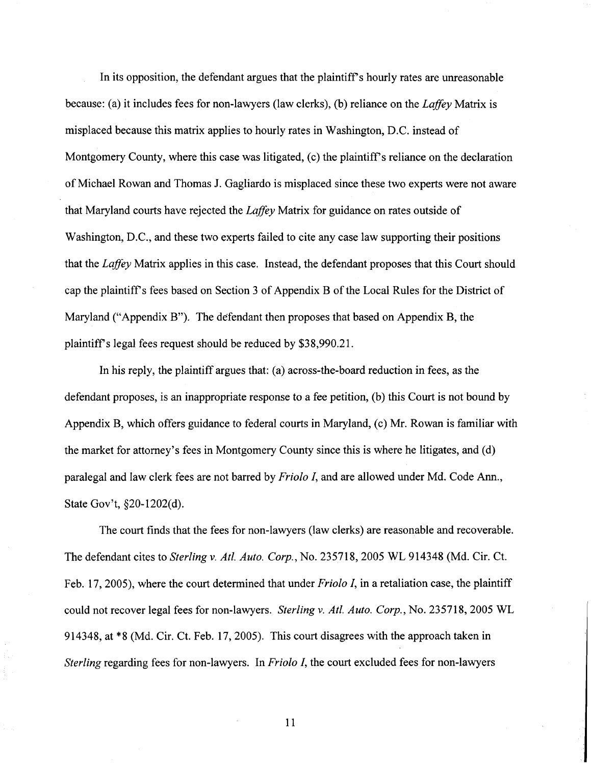In its opposition, the defendant argues that the plaintiff's hourly rates are unreasonable because: (a) it includes fees for non-lawyers (law clerks), (b) reliance on the Laffey Matrix is misplaced because this matrix applies to hourly rates in Washington, D.C. instead of Montgomery County, where this case was litigated, (c) the plaintiff's reliance on the declaration of Michael Rowan and Thomas J. Gagliardo is misplaced since these two experts were not aware that Maryland courts have rejected the Laffey Matrix for guidance on rates outside of Washington, D.C, and these two experts failed to cite any case law supporting their positions that the Laffey Matrix applies in this case. Instead, the defendant proposes that this Court should cap the plaintiffs fees based on Section 3 of Appendix B ofthe Local Rules for the District of Maryland ("Appendix B"). The defendant then proposes that based on Appendix B, the plaintiff's legal fees request should be reduced by \$38,990.21.

In his reply, the plaintiff argues that: (a) across-the-board reduction in fees, as the defendant proposes, is an inappropriate response to a fee petition, (b) this Court is not bound by Appendix B, which offers guidance to federal courts in Maryland, (c) Mr. Rowan is familiar with the market for attomey's fees in Montgomery County since this is where he litigates, and (d) paralegal and law clerk fees are not barred by Friolo I, and are allowed under Md. Code Ann., State Gov't, §20-1202(d).

The court finds that the fees for non-lawyers (law clerks) are reasonable and recoverable. The defendant cites to Sterling v. Atl. Auto. Corp., No. 235718, 2005 WL 914348 (Md. Cir. Ct. Feb. 17, 2005), where the court determined that under *Friolo I*, in a retaliation case, the plaintiff could not recover legal fees for non-lawyers. Sterling v. Atl. Auto. Corp., No. 235718, 2005 WL 914348, at \*8 (Md. Cir. Ct. Feb. 17, 2005). This court disagrees with the approach taken in Sterling regarding fees for non-lawyers. In Friolo I, the court excluded fees for non-lawyers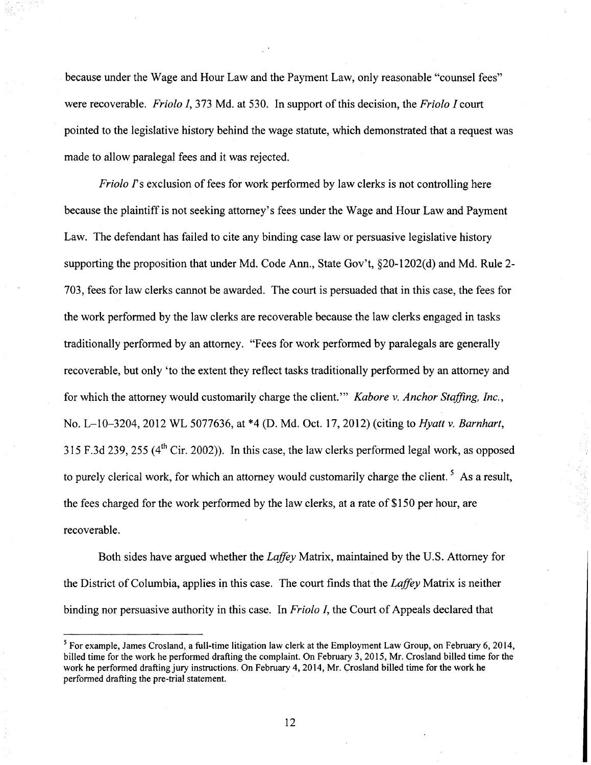because under the Wage and Hour Law and the Payment Law, only reasonable "counsel fees" were recoverable. Friolo I, 373 Md. at 530. In support of this decision, the Friolo I court pointed to the legislative history behind the wage statute, which demonstrated that a request was made to allow paralegal fees and it was rejected.

Friolo Ts exclusion of fees for work performed by law clerks is not controlling here because the plaintiff is not seeking attorney's fees under the Wage and Hour Law and Payment Law. The defendant has failed to cite any binding case law or persuasive legislative history supporting the proposition that under Md. Code Ann., State Gov't, §20-1202(d) and Md. Rule 2- 703, fees for law clerks cannot be awarded. The court is persuaded that in this case, the fees for the work performed by the law clerks are recoverable because the law clerks engaged in tasks traditionally performed by an attorney. "Fees for work performed by paralegals are generally recoverable, but only 'to the extent they reflect tasks traditionally performed by an attomey and for which the attorney would customarily charge the client." *Kabore v. Anchor Staffing, Inc.*, No. L-10-3204, 2012 WL 5077636, at \*4 (D. Md. Oct. 17, 2012) (citing to *Hyatt v. Barnhart*, 315 F.3d 239, 255 ( $4^{\text{th}}$  Cir. 2002)). In this case, the law clerks performed legal work, as opposed to purely clerical work, for which an attorney would customarily charge the client.<sup>5</sup> As a result, the fees charged for the work performed by the law clerks, at a rate of \$150 per hour, are recoverable.

Both sides have argued whether the Laffey Matrix, maintained by the U.S. Attomey for the District of Columbia, applies in this case. The court finds that the Laffey Matrix is neither binding nor persuasive authority in this case. In Friolo I, the Court of Appeals declared that

 $<sup>5</sup>$  For example, James Crosland, a full-time litigation law clerk at the Employment Law Group, on February 6, 2014,</sup> billed time for the work he performed drafting the complaint. On February 3, 2015, Mr. Crosland billed time for the work he performed drafting jury instructions. On February 4, 2014, Mr. Crosland billed time for the work he performed drafting the pre-trial statement.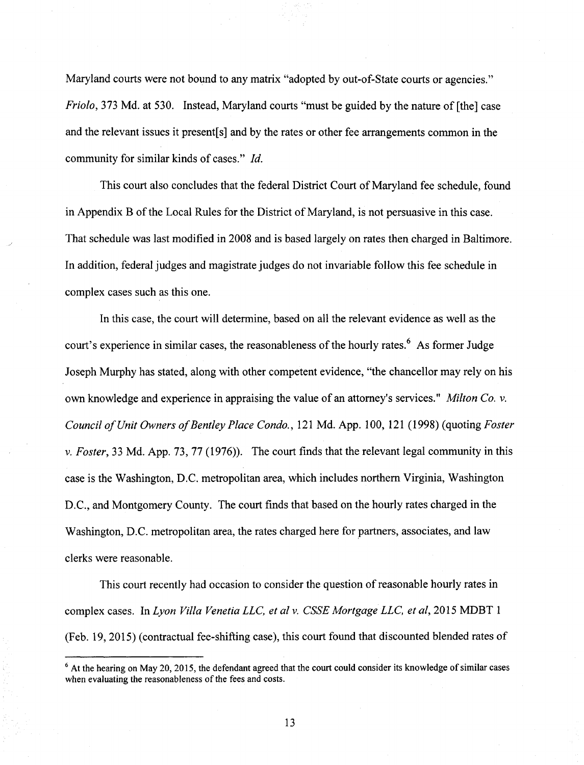Maryland courts were not bound to any matrix "adopted by out-of-State courts or agencies." Friolo, 373 Md. at 530. Instead, Maryland courts "must be guided by the nature of [the] case and the relevant issues it present[s] and by the rates or other fee arrangements common in the community for similar kinds of cases." Id.

This court also concludes that the federal District Court of Maryland fee schedule, found in Appendix B of the Local Rules for the District of Maryland, is not persuasive in this case. That schedule was last modified in 2008 and is based largely on rates then charged in Baltimore. In addition, federal judges and magistrate judges do not invariable follow this fee schedule in complex cases such as this one.

In this case, the court will determine, based on all the relevant evidence as well as the court's experience in similar cases, the reasonableness of the hourly rates. <sup>6</sup> As former Judge Joseph Murphy has stated, along with other competent evidence, "the chancellor may rely on his own knowledge and experience in appraising the value of an attorney's services." *Milton Co. v.* Council of Unit Owners of Bentley Place Condo., 121 Md. App. 100, 121 (1998) (quoting Foster v. Foster, 33 Md. App. 73, 77 (1976)). The court finds that the relevant legal community in this case is the Washington, D.C. metropolitan area, which includes northem Virginia, Washington D.C, and Montgomery County. The court finds that based on the hourly rates charged in the Washington, D.C. metropolitan area, the rates charged here for partners, associates, and law clerks were reasonable.

This court recently had occasion to consider the question of reasonable hourly rates in complex cases. In Lyon Villa Venetia LLC, et al v. CSSE Mortgage LLC, et al, 2015 MDBT 1 (Feb. 19, 2015) (contractual fee-shifting case), this court found that discounted blended rates of

 $<sup>6</sup>$  At the hearing on May 20, 2015, the defendant agreed that the court could consider its knowledge of similar cases</sup> when evaluating the reasonableness of the fees and costs.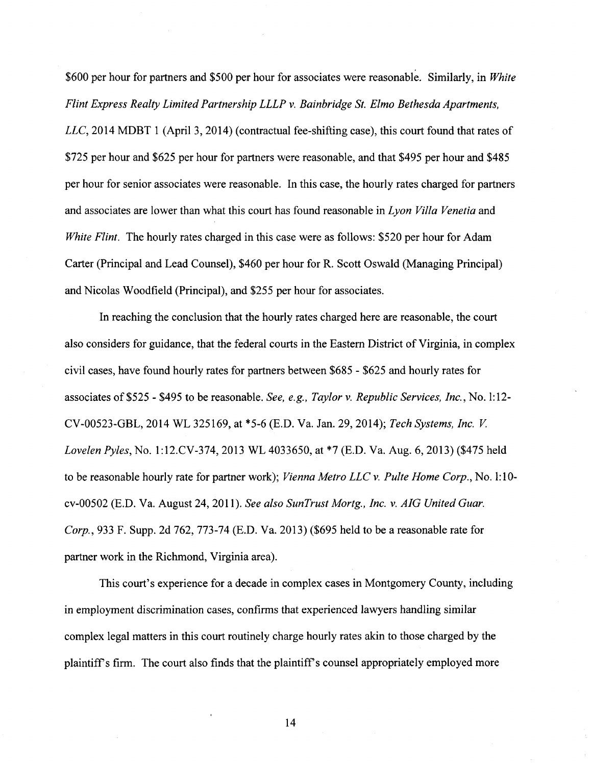\$600 per hour for partners and \$500 per hour for associates were reasonable. Similarly, in White Flint Express Realty Limited Partnership LLLP v. Bainbridge St. Elmo Bethesda Apartments, LLC, 2014 MDBT 1 (April 3, 2014) (contractual fee-shifting case), this court found that rates of \$725 per hour and \$625 per hour for partners were reasonable, and that \$495 per hour and \$485 per hour for senior associates were reasonable. In this case, the hourly rates charged for partners and associates are lower than what this court has found reasonable in Lyon Villa Venetia and White Flint. The hourly rates charged in this case were as follows: \$520 per hour for Adam Carter (Principal and Lead Counsel), \$460 per hour for R. Scott Oswald (Managing Principal) and Nicolas Woodfield (Principal), and \$255 per hour for associates.

In reaching the conclusion that the hourly rates charged here are reasonable, the court also considers for guidance, that the federal courts in the Eastern District of Virginia, in complex civil cases, have found hourly rates for partners between \$685 - \$625 and hourly rates for associates of \$525 - \$495 to be reasonable. See, e.g., Taylor v. Republic Services, Inc., No. 1:12- CV-00523-GBL, 2014 WL 325169, at \*5-6 (E.D. Va. Jan. 29, 2014); Tech Systems, Inc. V Lovelen Pyles, No. l:12.CV-374, 2013 WL 4033650, at \*7 (E.D. Va. Aug. 6, 2013) (\$475 held to be reasonable hourly rate for partner work); Vienna Metro LLC v. Pulte Home Corp., No. 1:10 cv-00502 (E.D. Va. August 24, 2011). See also SunTrust Mortg., Inc. v. AIG United Guar. Corp., 933 F. Supp. 2d 762, 773-74 (E.D. Va. 2013) (\$695 held to be a reasonable rate for partner work in the Richmond, Virginia area).

This court's experience for a decade in complex cases in Montgomery County, including in employment discrimination cases, confirms that experienced lawyers handling similar complex legal matters in this court routinely charge hourly rates akin to those charged by the plaintiff's firm. The court also finds that the plaintiff's counsel appropriately employed more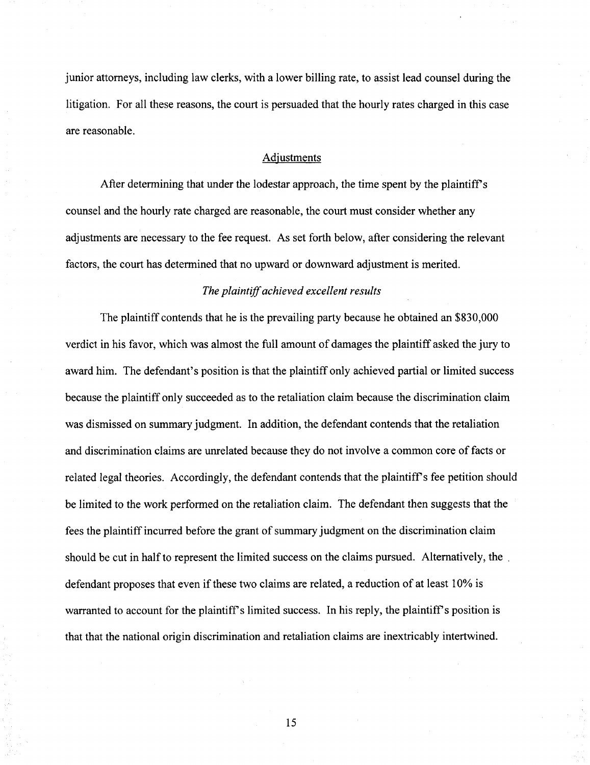junior attomeys, including law clerks, with a lower billing rate, to assist lead counsel during the litigation. For all these reasons, the court is persuaded that the hourly rates charged in this case are reasonable.

### Adjustments

After determining that under the lodestar approach, the time spent by the plaintiff's counsel and the hourly rate charged are reasonable, the court must consider whether any adjustments are necessary to the fee request. As set forth below, after considering the relevant factors, the court has determined that no upward or downward adjustment is merited.

# The plaintiff achieved excellent results

The plaintiff contends that he is the prevailing party because he obtained an \$830,000 verdict in his favor, which was almost the full amount of damages the plaintiff asked the jury to award him. The defendant's position is that the plaintiff only achieved partial or limited success because the plaintiff only succeeded as to the retaliation claim because the discrimination claim was dismissed on summary judgment. In addition, the defendant contends that the retaliation and discrimination claims are unrelated because they do not involve a common core of facts or related legal theories. Accordingly, the defendant contends that the plaintiff's fee petition should be limited to the work performed on the retaliation claim. The defendant then suggests that the fees the plaintiff incurred before the grant of summary judgment on the discrimination claim should be cut in half to represent the limited success on the claims pursued. Altematively, the . defendant proposes that even if these two claims are related, a reduction of at least 10% is warranted to account for the plaintiff's limited success. In his reply, the plaintiff's position is that that the national origin discrimination and retaliation claims are inextricably intertwined.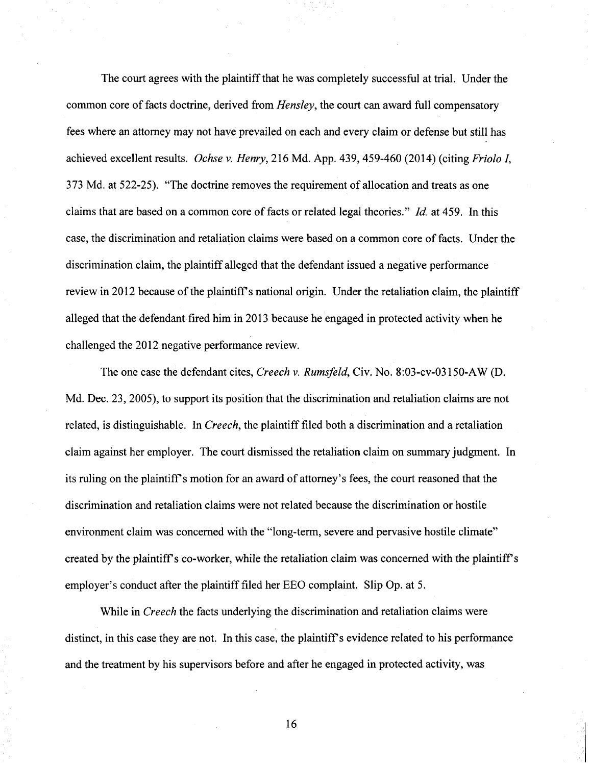The court agrees with the plaintiff that he was completely successful at trial. Under the common core of facts doctrine, derived from  $Hensley$ , the court can award full compensatory fees where an attomey may not have prevailed on each and every claim or defense but still has achieved excellent results. Ochse v. Henry, 216 Md. App. 439, 459-460 (2014) (citing Friolo I, 373 Md. at 522-25). "The doctrine removes the requirement of allocation and treats as one claims that are based on a common core of facts or related legal theories." Id. at 459. In this case, the discrimination and retaliation claims were based on a common core offacts. Under the discrimination claim, the plaintiff alleged that the defendant issued a negative performance review in 2012 because of the plaintiff's national origin. Under the retaliation claim, the plaintiff alleged that the defendant fired him in 2013 because he engaged in protected activity when he challenged the 2012 negative performance review.

The one case the defendant cites, Creech v. Rumsfeld, Civ. No. 8:03-cv-03150-AW (D. Md. Dec. 23, 2005), to support its position that the discrimination and retaliation claims are not related, is distinguishable. In Creech, the plaintiff filed both a discrimination and a retaliation claim against her employer. The court dismissed the retaliation claim on summary judgment. In its ruling on the plaintiff's motion for an award of attorney's fees, the court reasoned that the discrimination and retaliation claims were not related because the discrimination or hostile environment claim was concemed with the "long-term, severe and pervasive hostile climate" created by the plaintiff's co-worker, while the retaliation claim was concerned with the plaintiff's employer's conduct after the plaintiff filed her EEO complaint. Slip Op. at 5.

While in *Creech* the facts underlying the discrimination and retaliation claims were distinct, in this case they are not. In this case, the plaintiff's evidence related to his performance and the treatment by his supervisors before and after he engaged in protected activity, was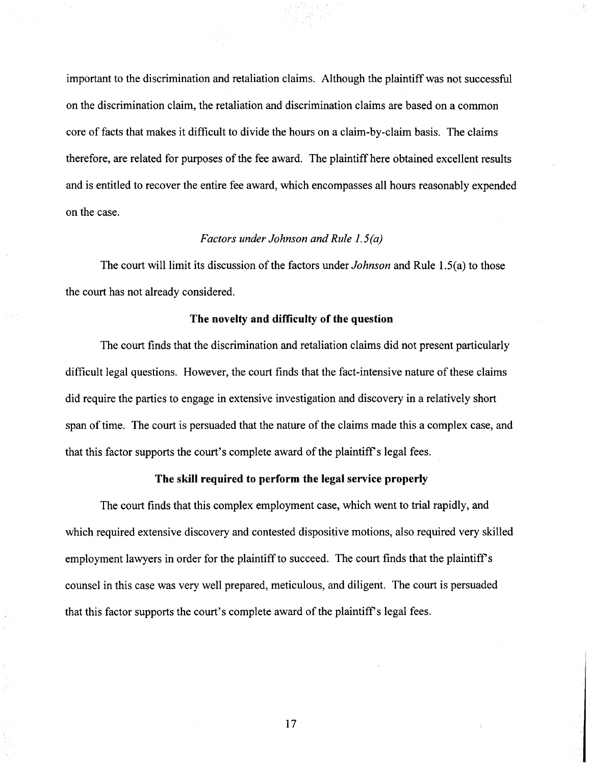important to the discrimination and retaliation claims. Although the plaintiff was not successful on the discrimination claim, the retaliation and discrimination claims are based on a common core of facts that makes it difficult to divide the hours on a claim-by-claim basis. The claims therefore, are related for purposes of the fee award. The plaintiff here obtained excellent results and is entitled to recover the entire fee award, which encompasses all hours reasonably expended on the case.

# Factors under Johnson and Rule 1.5(a)

The court will limit its discussion of the factors under *Johnson* and Rule 1.5(a) to those the court has not already considered.

## The novelty and difficulty of the question

The court finds that the discrimination and retaliation claims did not present particularly difficult legal questions. However, the court finds that the fact-intensive nature of these claims did require the parties to engage in extensive investigation and discovery in a relatively short span of time. The court is persuaded that the nature of the claims made this a complex case, and that this factor supports the court's complete award of the plaintiff s legal fees.

#### The skill required to perform the legal service properly

The court finds that this complex employment case, which went to trial rapidly, and which required extensive discovery and contested dispositive motions, also required very skilled employment lawyers in order for the plaintiff to succeed. The court finds that the plaintiff's counsel in this case was very well prepared, meticulous, and diligent. The court is persuaded that this factor supports the court's complete award of the plaintiff's legal fees.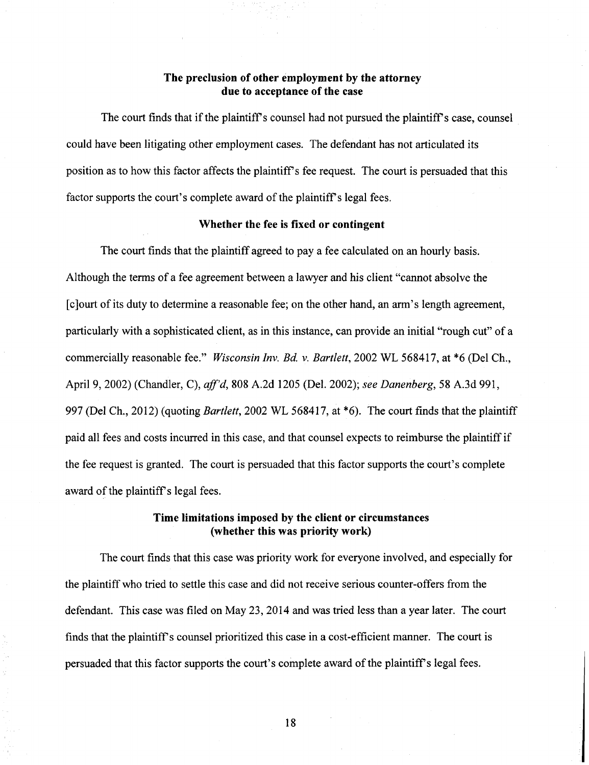# The preclusion of other employment by the attorney due to acceptance of the case

The court finds that if the plaintiff's counsel had not pursued the plaintiff's case, counsel could have been litigating other employment cases. The defendant has not articulated its position as to how this factor affects the plaintiff's fee request. The court is persuaded that this factor supports the court's complete award of the plaintiff's legal fees.

#### Whether the fee is fixed or contingent

The court finds that the plaintiff agreed to pay a fee calculated on an hourly basis. Although the terms of a fee agreement between a lawyer and his client "cannot absolve the [cjourt of its duty to determine a reasonable fee; on the other hand, an arm's length agreement, particularly with a sophisticated client, as in this instance, can provide an initial "rough cut" of a commercially reasonable fee." Wisconsin Inv. Bd. v. Bartlett, 2002 WL 568417, at \*6 (Del Ch., April 9, 2002) (Chandler, C), aff'd, 808 A.2d 1205 (Del. 2002); see Danenberg, 58 A.3d 991, 997 (Del Ch., 2012) (quoting Bartlett, 2002 WL 568417, at \*6). The court finds that the plaintiff paid all fees and costs incurred in this case, and that counsel expects to reimburse the plaintiff if the fee request is granted. The court is persuaded that this factor supports the court's complete award of the plaintiff's legal fees.

# Time limitations imposed by the client or circumstances (whether this was priority work)

The court finds that this case was priority work for everyone involved, and especially for the plaintiff who tried to settle this case and did not receive serious counter-offers from the defendant. This case was filed on May 23, 2014 and was tried less than a year later. The court finds that the plaintiff's counsel prioritized this case in a cost-efficient manner. The court is persuaded that this factor supports the court's complete award ofthe plaintiffs legal fees.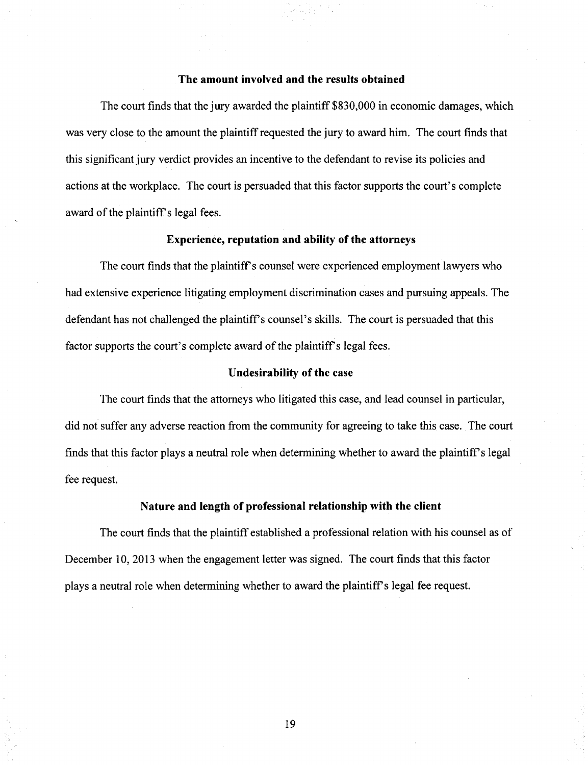### The amount involved and the results obtained

The court finds that the jury awarded the plaintiff \$830,000 in economic damages, which was very close to the amount the plaintiff requested the jury to award him. The court finds that this significant jury verdict provides an incentive to the defendant to revise its policies and actions at the workplace. The court is persuaded that this factor supports the court's complete award of the plaintiff's legal fees.

#### Experience, reputation and ability of the attorneys

The court finds that the plaintiff's counsel were experienced employment lawyers who had extensive experience litigating employment discrimination cases and pursuing appeals. The defendant has not challenged the plaintiff's counsel's skills. The court is persuaded that this factor supports the court's complete award of the plaintiff's legal fees.

## Undesirability of the case

The court finds that the attomeys who litigated this case, and lead counsel in particular, did not suffer any adverse reaction from the community for agreeing to take this case. The court finds that this factor plays a neutral role when determining whether to award the plaintiff's legal fee request.

## Nature and length of professional relationship with the client

The court finds that the plaintiff established a professional relation with his counsel as of December 10, 2013 when the engagement letter was signed. The court finds that this factor plays a neutral role when determining whether to award the plaintiff's legal fee request.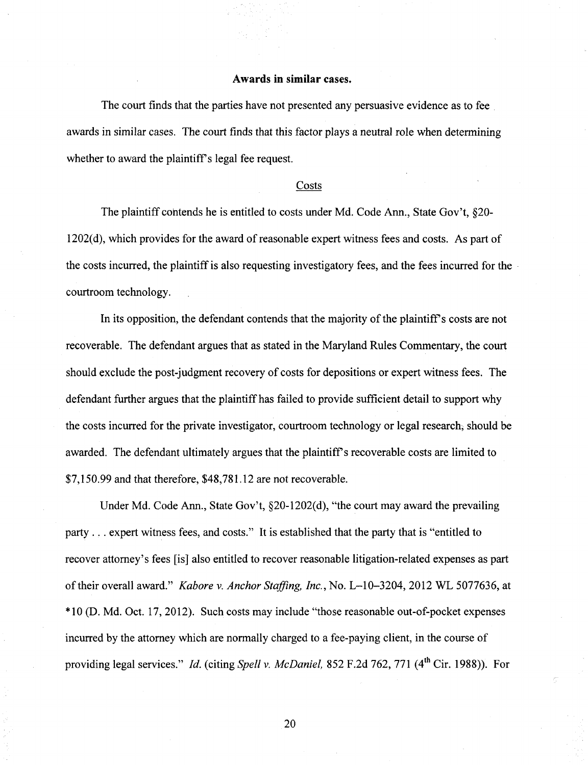## Awards in similar cases.

The court finds that the parties have not presented any persuasive evidence as to fee awards in similar cases. The court finds that this factor plays a neutral role when determining whether to award the plaintiff's legal fee request.

#### Costs

The plaintiff contends he is entitled to costs under Md. Code Ann., State Gov't, §20- 1202(d), which provides for the award of reasonable expert witness fees and costs. As part of the costs incurred, the plaintiff is also requesting investigatory fees, and the fees incurred for the courtroom technology.

In its opposition, the defendant contends that the majority of the plaintiff's costs are not recoverable. The defendant argues that as stated in the Maryland Rules Commentary, the court should exclude the post-judgment recovery of costs for depositions or expert witness fees. The defendant further argues that the plaintiff has failed to provide sufficient detail to support why the costs incurred for the private investigator, courtroom technology or legal research, should be awarded. The defendant ultimately argues that the plaintiff's recoverable costs are limited to \$7,150.99 and that therefore, \$48,781.12 are not recoverable.

Under Md. Code Ann., State Gov't, §20-1202(d), "the court may award the prevailing party . . . expert witness fees, and costs." It is established that the party that is "entitled to recover attomey's fees [is] also entitled to recover reasonable litigation-related expenses as part of their overall award." Kabore v. Anchor Staffing, Inc., No. L-10-3204, 2012 WL 5077636, at \*10 (D. Md. Oct. 17, 2012). Such costs may include "those reasonable out-of-pocket expenses incurred by the attorney which are normally charged to a fee-paying client, in the course of providing legal services." Id. (citing Spell v. McDaniel, 852 F.2d 762, 771 (4<sup>th</sup> Cir. 1988)). For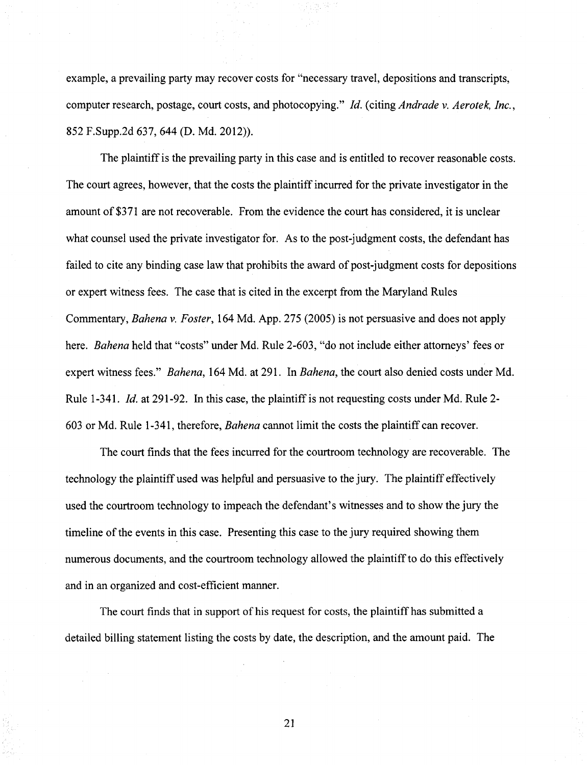example, a prevailing party may recover costs for "necessary travel, depositions and transcripts, computer research, postage, court costs, and photocopying." Id. {citing Andrade v. Aerotek, Inc., 852 F.Supp.2d 637, 644 (D. Md. 2012)).

The plaintiff is the prevailing party in this case and is entitled to recover reasonable costs. The court agrees, however, that the costs the plaintiff incurred for the private investigator in the amount of \$371 are not recoverable. From the evidence the court has considered, it is unclear what counsel used the private investigator for. As to the post-judgment costs, the defendant has failed to cite any binding case law that prohibits the award of post-judgment costs for depositions or expert witness fees. The case that is cited in the excerpt from the Maryland Rules Commentary, Bahena v. Foster, 164 Md. App. 275 (2005) is not persuasive and does not apply here. Bahena held that "costs" under Md. Rule 2-603, "do not include either attomeys' fees or expert witness fees." *Bahena*, 164 Md. at 291. In *Bahena*, the court also denied costs under Md. Rule 1-341. Id. at 291-92. In this case, the plaintiff is not requesting costs under Md. Rule 2- 603 or Md. Rule 1-341, therefore, Bahena cannot limit the costs the plaintiff can recover.

The court finds that the fees incurred for the courtroom technology are recoverable. The technology the plaintiff used was helpful and persuasive to the jury. The plaintiff effectively used the courtroom technology to impeach the defendant's witnesses and to show the jury the timeline of the events in this case. Presenting this case to the jury required showing them numerous documents, and the courtroom technology allowed the plaintiff to do this effectively and in an organized and cost-efficient manner.

The court finds that in support of his request for costs, the plaintiff has submitted a detailed billing statement listing the costs by date, the description, and the amount paid. The